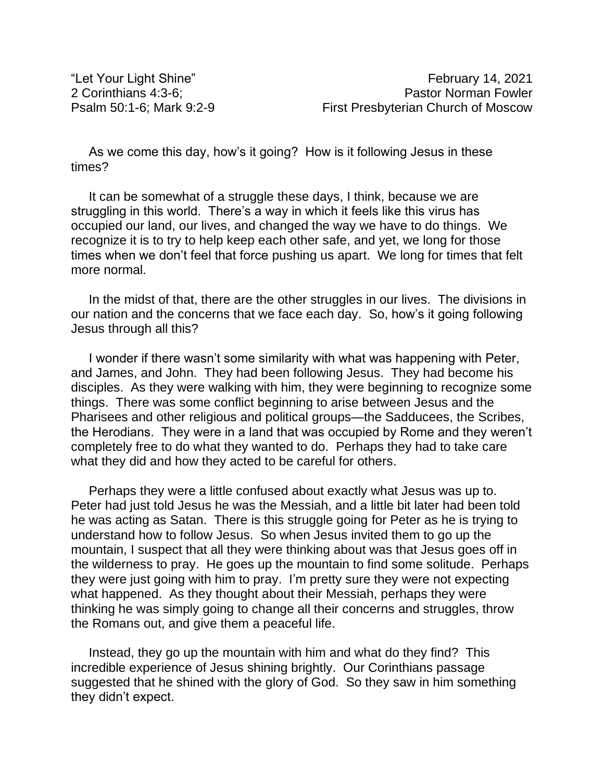As we come this day, how's it going? How is it following Jesus in these times?

It can be somewhat of a struggle these days, I think, because we are struggling in this world. There's a way in which it feels like this virus has occupied our land, our lives, and changed the way we have to do things. We recognize it is to try to help keep each other safe, and yet, we long for those times when we don't feel that force pushing us apart. We long for times that felt more normal.

In the midst of that, there are the other struggles in our lives. The divisions in our nation and the concerns that we face each day. So, how's it going following Jesus through all this?

I wonder if there wasn't some similarity with what was happening with Peter, and James, and John. They had been following Jesus. They had become his disciples. As they were walking with him, they were beginning to recognize some things. There was some conflict beginning to arise between Jesus and the Pharisees and other religious and political groups—the Sadducees, the Scribes, the Herodians. They were in a land that was occupied by Rome and they weren't completely free to do what they wanted to do. Perhaps they had to take care what they did and how they acted to be careful for others.

Perhaps they were a little confused about exactly what Jesus was up to. Peter had just told Jesus he was the Messiah, and a little bit later had been told he was acting as Satan. There is this struggle going for Peter as he is trying to understand how to follow Jesus. So when Jesus invited them to go up the mountain, I suspect that all they were thinking about was that Jesus goes off in the wilderness to pray. He goes up the mountain to find some solitude. Perhaps they were just going with him to pray. I'm pretty sure they were not expecting what happened. As they thought about their Messiah, perhaps they were thinking he was simply going to change all their concerns and struggles, throw the Romans out, and give them a peaceful life.

Instead, they go up the mountain with him and what do they find? This incredible experience of Jesus shining brightly. Our Corinthians passage suggested that he shined with the glory of God. So they saw in him something they didn't expect.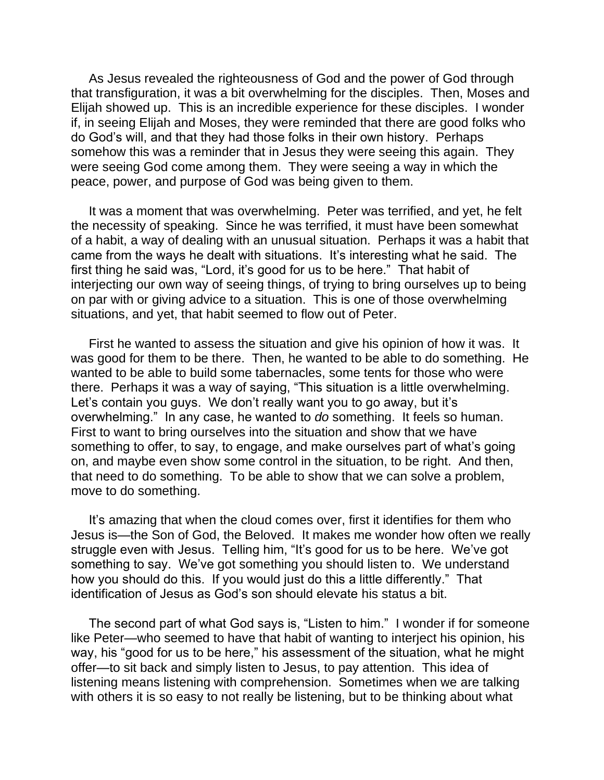As Jesus revealed the righteousness of God and the power of God through that transfiguration, it was a bit overwhelming for the disciples. Then, Moses and Elijah showed up. This is an incredible experience for these disciples. I wonder if, in seeing Elijah and Moses, they were reminded that there are good folks who do God's will, and that they had those folks in their own history. Perhaps somehow this was a reminder that in Jesus they were seeing this again. They were seeing God come among them. They were seeing a way in which the peace, power, and purpose of God was being given to them.

It was a moment that was overwhelming. Peter was terrified, and yet, he felt the necessity of speaking. Since he was terrified, it must have been somewhat of a habit, a way of dealing with an unusual situation. Perhaps it was a habit that came from the ways he dealt with situations. It's interesting what he said. The first thing he said was, "Lord, it's good for us to be here." That habit of interjecting our own way of seeing things, of trying to bring ourselves up to being on par with or giving advice to a situation. This is one of those overwhelming situations, and yet, that habit seemed to flow out of Peter.

First he wanted to assess the situation and give his opinion of how it was. It was good for them to be there. Then, he wanted to be able to do something. He wanted to be able to build some tabernacles, some tents for those who were there. Perhaps it was a way of saying, "This situation is a little overwhelming. Let's contain you guys. We don't really want you to go away, but it's overwhelming." In any case, he wanted to *do* something. It feels so human. First to want to bring ourselves into the situation and show that we have something to offer, to say, to engage, and make ourselves part of what's going on, and maybe even show some control in the situation, to be right. And then, that need to do something. To be able to show that we can solve a problem, move to do something.

It's amazing that when the cloud comes over, first it identifies for them who Jesus is—the Son of God, the Beloved. It makes me wonder how often we really struggle even with Jesus. Telling him, "It's good for us to be here. We've got something to say. We've got something you should listen to. We understand how you should do this. If you would just do this a little differently." That identification of Jesus as God's son should elevate his status a bit.

The second part of what God says is, "Listen to him." I wonder if for someone like Peter—who seemed to have that habit of wanting to interject his opinion, his way, his "good for us to be here," his assessment of the situation, what he might offer—to sit back and simply listen to Jesus, to pay attention. This idea of listening means listening with comprehension. Sometimes when we are talking with others it is so easy to not really be listening, but to be thinking about what